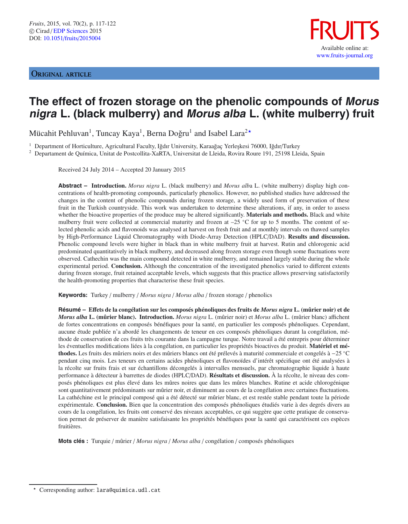ORIGINAL ARTICLE



# **The effect of frozen storage on the phenolic compounds of Morus nigra L. (black mulberry) and Morus alba L. (white mulberry) fruit**

Mücahit Pehluvan $^1$ , Tuncay Kaya $^1$ , Berna Doğru $^1$  and Isabel Lara $^{2\star}$ 

<sup>1</sup> Department of Horticulture, Agricultural Faculty, Iğdır University, Karaağaç Yerleşkesi 76000, Iğdır/Turkey

<sup>2</sup> Departament de Química, Unitat de Postcollita-XaRTA, Universitat de Lleida, Rovira Roure 191, 25198 Lleida, Spain

Received 24 July 2014 – Accepted 20 January 2015

**Abstract – Introduction.** *Morus nigra* L. (black mulberry) and *Morus alb*a L. (white mulberry) display high concentrations of health-promoting compounds, particularly phenolics. However, no published studies have addressed the changes in the content of phenolic compounds during frozen storage, a widely used form of preservation of these fruit in the Turkish countryside. This work was undertaken to determine these alterations, if any, in order to assess whether the bioactive properties of the produce may be altered significantly. **Materials and methods.** Black and white mulberry fruit were collected at commercial maturity and frozen at  $-25$  °C for up to 5 months. The content of selected phenolic acids and flavonoids was analysed at harvest on fresh fruit and at monthly intervals on thawed samples by High-Performance Liquid Chromatography with Diode-Array Detection (HPLC/DAD). **Results and discussion.** Phenolic compound levels were higher in black than in white mulberry fruit at harvest. Rutin and chlorogenic acid predominated quantitatively in black mulberry, and decreased along frozen storage even though some fluctuations were observed. Cathechin was the main compound detected in white mulberry, and remained largely stable during the whole experimental period. **Conclusion.** Although the concentration of the investigated phenolics varied to different extents during frozen storage, fruit retained acceptable levels, which suggests that this practice allows preserving satisfactorily the health-promoting properties that characterise these fruit species.

**Keywords:** Turkey / mulberry / *Morus nigra* / *Morus alba* / frozen storage / phenolics

**Résumé – E**ff**ets de la congélation sur les composés phénoliques des fruits de** *Morus nigra* **L. (mûrier noir) et de** *Morus alba* **L. (mûrier blanc). Introduction.** *Morus nigra* L. (mûrier noir) et *Morus alba* L. (mûrier blanc) affichent de fortes concentrations en composés bénéfiques pour la santé, en particulier les composés phénoliques. Cependant, aucune étude publiée n'a abordé les changements de teneur en ces composés phénoliques durant la congélation, méthode de conservation de ces fruits très courante dans la campagne turque. Notre travail a été entrepris pour déterminer les éventuelles modifications liées à la congélation, en particulier les propriétés bioactives du produit. **Matériel et méthodes.** Les fruits des mûriers noirs et des mûriers blancs ont été prélevés à maturité commerciale et congelés à −25 ◦C pendant cinq mois. Les teneurs en certains acides phénoliques et flavonoïdes d'intérêt spécifique ont été analysées à la récolte sur fruits frais et sur échantillons décongelés à intervalles mensuels, par chromatographie liquide à haute performance à détecteur à barrettes de diodes (HPLC/DAD). **Résultats et discussion.** À la récolte, le niveau des composés phénoliques est plus élevé dans les mûres noires que dans les mûres blanches. Rutine et acide chlorogénique sont quantitativement prédominants sur mûrier noir, et diminuent au cours de la congélation avec certaines fluctuations. La cathéchine est le principal composé qui a été détecté sur mûrier blanc, et est restée stable pendant toute la période expérimentale. **Conclusion.** Bien que la concentration des composés phénoliques étudiés varie à des degrés divers au cours de la congélation, les fruits ont conservé des niveaux acceptables, ce qui suggère que cette pratique de conservation permet de préserver de manière satisfaisante les propriétés bénéfiques pour la santé qui caractérisent ces espèces fruitières.

**Mots clés :** Turquie / mûrier / *Morus nigra* / *Morus alba* / congélation / composés phénoliques

Corresponding author: lara@quimica.udl.cat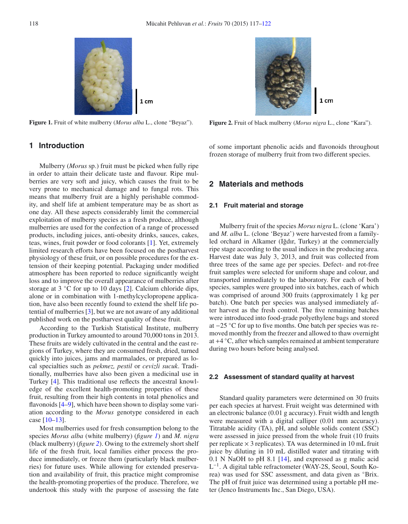<span id="page-1-0"></span>

**Figure 1.** Fruit of white mulberry (*Morus alba* L., clone "Beyaz").

 $1<sub>cm</sub>$ 

<span id="page-1-1"></span>

**Figure 2.** Fruit of black mulberry (*Morus nigra* L., clone "Kara").

# **1 Introduction**

Mulberry (*Morus* sp.) fruit must be picked when fully ripe in order to attain their delicate taste and flavour. Ripe mulberries are very soft and juicy, which causes the fruit to be very prone to mechanical damage and to fungal rots. This means that mulberry fruit are a highly perishable commodity, and shelf life at ambient temperature may be as short as one day. All these aspects considerably limit the commercial exploitation of mulberry species as a fresh produce, although mulberries are used for the confection of a range of processed products, including juices, anti-obesity drinks, sauces, cakes, teas, wines, fruit powder or food colorants [\[1](#page-5-1)]. Yet, extremely limited research efforts have been focused on the postharvest physiology of these fruit, or on possible procedures for the extension of their keeping potential. Packaging under modified atmosphere has been reported to reduce significantly weight loss and to improve the overall appearance of mulberries after storage at 3 °C for up to 10 days [\[2\]](#page-5-2). Calcium chloride dips, alone or in combination with 1-methylcyclopropene application, have also been recently found to extend the shelf life potential of mulberries [\[3\]](#page-5-3), but we are not aware of any additional published work on the postharvest quality of these fruit.

According to the Turkish Statistical Institute, mulberry production in Turkey amounted to around 70,000 tons in 2013. These fruits are widely cultivated in the central and the east regions of Turkey, where they are consumed fresh, dried, turned quickly into juices, jams and marmalades, or prepared as local specialties such as *pekmez, pestil* or *cevizli sucuk*. Traditionally, mulberries have also been given a medicinal use in Turkey [\[4\]](#page-5-4). This traditional use reflects the ancestral knowledge of the excellent health-promoting properties of these fruit, resulting from their high contents in total phenolics and flavonoids [\[4](#page-5-4)[–9\]](#page-5-5), which have been shown to display some variation according to the *Morus* genotype considered in each case [\[10](#page-5-6)[–13\]](#page-5-7).

Most mulberries used for fresh consumption belong to the species *Morus alba* (white mulberry) (*figure [1](#page-1-0)*) and *M. nigra* (black mulberry) (*figure [2](#page-1-1)*). Owing to the extremely short shelf life of the fresh fruit, local families either process the produce immediately, or freeze them (particularly black mulberries) for future uses. While allowing for extended preservation and availability of fruit, this practice might compromise the health-promoting properties of the produce. Therefore, we undertook this study with the purpose of assessing the fate of some important phenolic acids and flavonoids throughout frozen storage of mulberry fruit from two different species.

# **2 Materials and methods**

#### **2.1 Fruit material and storage**

Mulberry fruit of the species *Morus nigra* L. (clone 'Kara') and *M. alba* L. (clone 'Beyaz') were harvested from a familyled orchard in Alkamer (Iğdır, Turkey) at the commercially ripe stage according to the usual indices in the producing area. Harvest date was July 3, 2013, and fruit was collected from three trees of the same age per species. Defect- and rot-free fruit samples were selected for uniform shape and colour, and transported immediately to the laboratory. For each of both species, samples were grouped into six batches, each of which was comprised of around 300 fruits (approximately 1 kg per batch). One batch per species was analysed immediately after harvest as the fresh control. The five remaining batches were introduced into food-grade polyethylene bags and stored at −25 ◦C for up to five months. One batch per species was removed monthly from the freezer and allowed to thaw overnight at +4 ◦C, after which samples remained at ambient temperature during two hours before being analysed.

#### **2.2 Assessment of standard quality at harvest**

Standard quality parameters were determined on 30 fruits per each species at harvest. Fruit weight was determined with an electronic balance (0.01 g accuracy). Fruit width and length were measured with a digital calliper (0.01 mm accuracy). Titratable acidity (TA), pH, and soluble solids content (SSC) were assessed in juice pressed from the whole fruit (10 fruits per replicate  $\times$  3 replicates). TA was determined in 10 mL fruit juice by diluting in 10 mL distilled water and titrating with 0.1 N NaOH to pH 8.1 [\[14](#page-5-8)], and expressed as g malic acid L−1. A digital table refractometer (WAY-2S, Seoul, South Korea) was used for SSC assessment, and data given as ◦Brix. The pH of fruit juice was determined using a portable pH meter (Jenco Instruments Inc., San Diego, USA).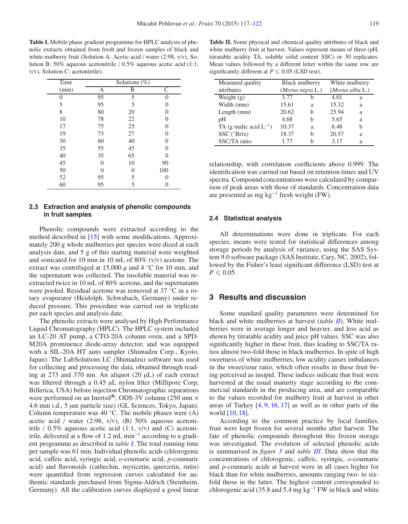<span id="page-2-0"></span>**Table I.** Mobile phase gradient programme for HPLC analysis of phenolic extracts obtained from fresh and frozen samples of black and white mulberry fruit (Solution A: Acetic acid / water (2:98, v/v), Solution B: 50% aqueous acetonitrile / 0.5% aqueous acetic acid (1:1, v/v), Solution C: acetonitrile).

| Time  |    | Solutions $(\%)$ |     |
|-------|----|------------------|-----|
| (min) | А  | B                | C   |
| 0     | 95 | 5                | 0   |
| 5     | 95 | 5                | 0   |
| 8     | 80 | 20               | 0   |
| 10    | 78 | 22               | 0   |
| 17    | 75 | 25               | 0   |
| 19    | 73 | 27               | 0   |
| 30    | 60 | 40               | 0   |
| 35    | 55 | 45               | 0   |
| 40    | 35 | 65               | 0   |
| 45    | 0  | 10               | 90  |
| 50    | 0  |                  | 100 |
| 52    | 95 | 5                | 0   |
| 60    | 95 | 5                |     |

### **2.3 Extraction and analysis of phenolic compounds in fruit samples**

Phenolic compounds were extracted according to the method described in [\[15\]](#page-5-9) with some modifications. Approximately 200 g whole mulberries per species were diced at each analysis date, and 5 g of this starting material were weighted and sonicated for 10 min in 10 mL of 80% (v/v) acetone. The extract was centrifuged at 15,000 g and 4  $°C$  for 10 min, and the supernatant was collected. The insoluble material was reextracted twice in 10 mL of 80% acetone, and the supernatants were pooled. Residual acetone was removed at 37 ◦C in a rotary evaporator (Heidolph, Schwabach, Germany) under reduced pressure. This procedure was carried out in triplicate per each species and analysis date.

The phenolic extracts were analysed by High Performance Liquid Chromatography (HPLC). The HPLC system included an LC-20 AT pump, a CTO-20A column oven, and a SPD-M20A prominence diode-array detector, and was equipped with a SIL-20A HT auto sampler (Shimadzu Corp., Kyoto, Japan). The LabSolutions LC (Shimadzu) software was used for collecting and processing the data, obtained through reading at 273 and 370 nm. An aliquot (20 µL) of each extract was filtered through a 0.45 µL nylon filter (Millipore Corp, Billerica, USA) before injection Chromatographic separations were performed on an Inertsil<sup>®</sup>, ODS-3V column (250 mm  $\times$ 4.6 mm i.d., 5 µm particle size) (GL Sciences, Tokyo, Japan). Column temperature was  $40^{\circ}$ C. The mobile phases were (A) acetic acid / water (2:98, v/v), (B) 50% aqueous acetonitrile  $/ 0.5\%$  aqueous acetic acid (1:1, v/v) and (C) acetonitrile, delivered at a flow of 1.2 mL min−<sup>1</sup> according to a gradient programme as described in *table [I](#page-2-0)*. The total running time per sample was 61 min. Individual phenolic acids (chlorogenic acid, caffeic acid, syringic acid, *o*-coumaric acid, *p*-coumaric acid) and flavonoids (cathechin, myricetin, quercetin, rutin) were quantified from regression curves calculated for authentic standards purchased from Sigma-Aldrich (Steinheim, Germany). All the calibration curves displayed a good linear

<span id="page-2-1"></span>**Table II.** Some physical and chemical quality attributes of black and white mulberry fruit at harvest. Values represent means of three (pH, titratable acidity TA, soluble solid content SSC) or 30 replicates. Mean values followed by a different letter within the same row are significantly different at  $P \le 0.05$  (LSD test).

| Measured quality            | Black mulberry   |   | White mulberry          |   |  |  |  |
|-----------------------------|------------------|---|-------------------------|---|--|--|--|
| attributes                  | (Morus nigra L.) |   | $(Morus \, alba \, L.)$ |   |  |  |  |
| Weight $(g)$                | 3.77             | h | 4.01                    | a |  |  |  |
| Width (mm)                  | 15.61            | a | 15.32                   | a |  |  |  |
| Length $(mm)$               | 20.62            | h | 25.94                   | a |  |  |  |
| pΗ                          | 4.68             | h | 5.65                    | a |  |  |  |
| TA (g malic acid $L^{-1}$ ) | 10.37            | a | 6.48                    | h |  |  |  |
| SSC (°Brix)                 | 18.37            | h | 20.57                   | a |  |  |  |
| SSC/TA ratio                | 177              |   | 3.17                    | a |  |  |  |

relationship, with correlation coefficients above 0.999. The identification was carried out based on retention times and UV spectra. Compound concentrations were calculated by comparison of peak areas with those of standards. Concentration data are presented as mg  $kg^{-1}$  fresh weight (FW).

#### **2.4 Statistical analysis**

All determinations were done in triplicate. For each species, means were tested for statistical differences among storage periods by analysis of variance, using the SAS System 9.0 software package (SAS Institute, Cary, NC, 2002), followed by the Fisher's least significant difference (LSD) test at  $P \leqslant 0.05$ .

## **3 Results and discussion**

Some standard quality parameters were determined for black and white mulberries at harvest (*table [II](#page-2-1)*). White mulberries were in average longer and heavier, and less acid as shown by titratable acidity and juice pH values. SSC was also significantly higher in these fruit, thus leading to SSC/TA ratios almost two-fold those in black mulberries. In spite of high sweetness of white mulberries, low acidity causes imbalances in the sweet/sour ratio, which often results in these fruit being perceived as insipid. These indices indicate that fruit were harvested at the usual maturity stage according to the commercial standards in the producing area, and are comparable to the values recorded for mulberry fruit at harvest in other areas of Turkey [\[4](#page-5-4), [9,](#page-5-5) [16](#page-5-10), [17\]](#page-5-11) as well as in other parts of the world [\[10,](#page-5-6) [18](#page-5-12)].

According to the common practice by local families, fruit were kept frozen for several months after harvest. The fate of phenolic compounds throughout this frozen storage was investigated. The evolution of selected phenolic acids is summarised in *figure [3](#page-3-0)* and *table [III](#page-3-1)*. Data show that the concentrations of chlorogenic, caffeic, syringic, *o*-coumaric and *p*-coumaric acids at harvest were in all cases higher for black than for white mulberries, amounts ranging two- to sixfold those in the latter. The highest content corresponded to chlorogenic acid (35.8 and 5.4 mg kg<sup>-1</sup> FW in black and white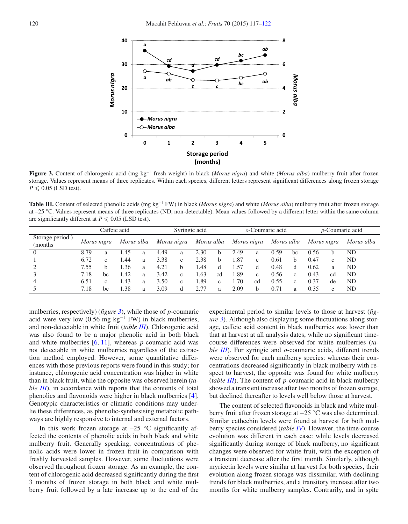

<span id="page-3-1"></span><span id="page-3-0"></span>**Figure 3.** Content of chlorogenic acid (mg kg−<sup>1</sup> fresh weight) in black (*Morus nigra*) and white (*Morus alba*) mulberry fruit after frozen storage. Values represent means of three replicates. Within each species, different letters represent significant differences along frozen storage  $P \leqslant 0.05$  (LSD test).

**Table III.** Content of selected phenolic acids (mg kg−<sup>1</sup> FW) in black (*Morus nigra*) and white (*Morus alba*) mulberry fruit after frozen storage at –25 ◦C. Values represent means of three replicates (ND, non-detectable). Mean values followed by a different letter within the same column are significantly different at  $P \leqslant 0.05$  (LSD test).

|                             |             |              | Caffeic acid |   |             | Syringic acid |            |              |             |              | $o$ -Coumaric acid |              | <i>p</i> -Coumaric acid |              |            |
|-----------------------------|-------------|--------------|--------------|---|-------------|---------------|------------|--------------|-------------|--------------|--------------------|--------------|-------------------------|--------------|------------|
| Storage period)<br>(months) | Morus nigra |              | Morus alba   |   | Morus nigra |               | Morus alba |              | Morus nigra |              | Morus alba         |              | Morus nigra             |              | Morus alba |
| $\theta$                    | 8.79        | a            | .45          | a | 4.49        | a             | 2.30       | <sub>b</sub> | 2.49        | a            | 0.59               | bc           | 0.56                    |              | ND         |
|                             | 6.72        | $\mathbf{c}$ | .44          | a | 3.38        | C             | 2.38       | b            | l.87        | c            | 0.61               | <sub>b</sub> | 0.47                    | $\mathbf{c}$ | ND         |
|                             | 7.55        | h            | 1.36         | a | 4.21        | b             | 1.48       | đ            | 1.57        | d            | 0.48               | d            | 0.62                    | a            | ND         |
|                             | 7.18        | bc           | l.42         | a | 3.42        | c             | 1.63       | cd           | l.89        | $\mathbf{c}$ | 0.56               | $\mathbf{c}$ | 0.43                    | cd           | ND         |
| 4                           | 6.51        | $\mathbf{c}$ | 1.43         | a | 3.50        | c             | 1.89       | $\mathbf c$  | 1.70        | cd           | 0.55               | $\mathbf{c}$ | 0.37                    | de           | ND         |
|                             | 7.18        | bc           | l.38         | a | 3.09        | d             | 2.77       | a            | 2.09        | b            | 0.71               | a            | 0.35                    | e            | ND         |

mulberries, respectively) (*figure [3](#page-3-0)*), while those of *p*-coumaric acid were very low (0.56 mg kg<sup>-1</sup> FW) in black mulberries, and non-detectable in white fruit (*table [III](#page-3-1)*). Chlorogenic acid was also found to be a major phenolic acid in both black and white mulberries [\[6](#page-5-13), [11](#page-5-14)], whereas *p*-coumaric acid was not detectable in white mulberries regardless of the extraction method employed. However, some quantitative differences with those previous reports were found in this study; for instance, chlorogenic acid concentration was higher in white than in black fruit, while the opposite was observed herein (*table [III](#page-3-1)*), in accordance with reports that the contents of total phenolics and flavonoids were higher in black mulberries [\[4](#page-5-4)]. Genotypic characteristics or climatic conditions may underlie these differences, as phenolic-synthesising metabolic pathways are highly responsive to internal and external factors.

In this work frozen storage at  $-25$  °C significantly affected the contents of phenolic acids in both black and white mulberry fruit. Generally speaking, concentrations of phenolic acids were lower in frozen fruit in comparison with freshly harvested samples. However, some fluctuations were observed throughout frozen storage. As an example, the content of chlorogenic acid decreased significantly during the first 3 months of frozen storage in both black and white mulberry fruit followed by a late increase up to the end of the experimental period to similar levels to those at harvest (*figure [3](#page-3-0)*). Although also displaying some fluctuations along storage, caffeic acid content in black mulberries was lower than that at harvest at all analysis dates, while no significant timecourse differences were observed for white mulberries (*table [III](#page-3-1)*). For syringic and *o*-coumaric acids, different trends were observed for each mulberry species: whereas their concentrations decreased significantly in black mulberry with respect to harvest, the opposite was found for white mulberry (*table [III](#page-3-1)*). The content of *p*-coumaric acid in black mulberry showed a transient increase after two months of frozen storage, but declined thereafter to levels well below those at harvest.

The content of selected flavonoids in black and white mulberry fruit after frozen storage at −25 ◦C was also determined. Similar cathechin levels were found at harvest for both mulberry species considered (*table [IV](#page-4-0)*). However, the time-course evolution was different in each case: while levels decreased significantly during storage of black mulberry, no significant changes were observed for white fruit, with the exception of a transient decrease after the first month. Similarly, although myricetin levels were similar at harvest for both species, their evolution along frozen storage was dissimilar, with declining trends for black mulberries, and a transitory increase after two months for white mulberry samples. Contrarily, and in spite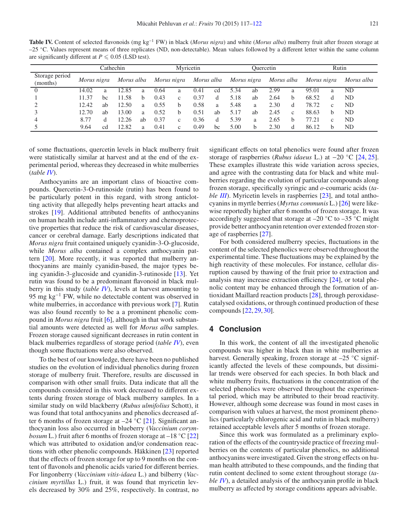<span id="page-4-0"></span>**Table IV.** Content of selected flavonoids (mg kg−<sup>1</sup> FW) in black (*Morus nigra*) and white (*Morus alba*) mulberry fruit after frozen storage at –25 ◦C. Values represent means of three replicates (ND, non-detectable). Mean values followed by a different letter within the same column are significantly different at  $P \le 0.05$  (LSD test).

|                            |             |    | Cathechin  | Myricetin    |             |              |            |    |             |    | <b>Ouercetin</b> |              | Rutin       |   |            |  |
|----------------------------|-------------|----|------------|--------------|-------------|--------------|------------|----|-------------|----|------------------|--------------|-------------|---|------------|--|
| Storage period<br>(months) | Morus nigra |    | Morus alba |              | Morus nigra |              | Morus alba |    | Morus nigra |    | Morus alba       |              | Morus nigra |   | Morus alba |  |
| $\theta$                   | 14.02       | a  | 12.85      | a            | 0.64        | a            | 0.41       | cd | 5.34        | ab | 2.99             | a            | 95.01       | a | ND         |  |
|                            | 11.37       | bc | 11.58      | <sub>b</sub> | 0.43        | $\mathbf{c}$ | 0.37       | d  | 5.18        | ab | 2.64             | b            | 68.52       | đ | ND         |  |
|                            | 12.42       | ab | 12.50      | a            | 0.55        | b.           | 0.58       | a  | 5.48        | a  | 2.30             | d            | 78.72       | c | ND         |  |
|                            | 12.70       | ab | 13.00      | a            | 0.52        | b.           | 0.51       | ab | 5.17        | ab | 2.45             | $\mathbf{c}$ | 88.63       | h | ND         |  |
| 4                          | 8.77        | d  | 12.26      | ab           | 0.37        | C            | 0.36       | d  | 5.39        | a  | 2.65             | b            | 77.21       | c | ND         |  |
|                            | 9.64        | cd | 12.82      | a            | 0.41        | c            | 0.49       | bc | 5.00        | b  | 2.30             | d            | 86.12       | h | ND         |  |

of some fluctuations, quercetin levels in black mulberry fruit were statistically similar at harvest and at the end of the experimental period, whereas they decreased in white mulberries (*table [IV](#page-4-0)*).

Anthocyanins are an important class of bioactive compounds. Quercetin-3-O-rutinoside (rutin) has been found to be particularly potent in this regard, with strong anticlotting activity that allegedly helps preventing heart attacks and strokes [\[19\]](#page-5-15). Additional attributed benefits of anthocyanins on human health include anti-inflammatory and chemoprotective properties that reduce the risk of cardiovascular diseases, cancer or cerebral damage. Early descriptions indicated that *Morus nigra* fruit contained uniquely cyanidin-3-O-glucoside, while *Morus alba* contained a complex anthocyanin pattern [\[20\]](#page-5-16). More recently, it was reported that mulberry anthocyanins are mainly cyanidin-based, the major types being cyanidin-3-glucoside and cyanidin-3-rutinoside [\[13](#page-5-7)]. Yet rutin was found to be a predominant flavonoid in black mulberry in this study (*table [IV](#page-4-0)*), levels at harvest amounting to 95 mg kg<sup>-1</sup> FW, while no detectable content was observed in white mulberries, in accordance with previous work [\[7\]](#page-5-17). Rutin was also found recently to be a a prominent phenolic compound in *Morus nigra* fruit [\[6\]](#page-5-13), although in that work substantial amounts were detected as well for *Morus alba* samples. Frozen storage caused significant decreases in rutin content in black mulberries regardless of storage period (*table [IV](#page-4-0)*), even though some fluctuations were also observed.

To the best of our knowledge, there have been no published studies on the evolution of individual phenolics during frozen storage of mulberry fruit. Therefore, results are discussed in comparison with other small fruits. Data indicate that all the compounds considered in this work decreased to different extents during frozen storage of black mulberry samples. In a similar study on wild blackberry (*Rubus ulmifolius* Schott), it was found that total anthocyanins and phenolics decreased after 6 months of frozen storage at  $-24$  °C [\[21\]](#page-5-18). Significant anthocyanin loss also occurred in blueberry (*Vaccinium corymbosum* L.) fruit after 6 months of frozen storage at –18 °C [\[22\]](#page-5-19) which was attributed to oxidation and/or condensation reactions with other phenolic compounds. Häkkinen [\[23\]](#page-5-20) reported that the effects of frozen storage for up to 9 months on the content of flavonols and phenolic acids varied for different berries. For lingonberry (*Vaccinium vitis-idaea* L.) and bilberry (*Vaccinium myrtillus* L.) fruit, it was found that myricetin levels decreased by 30% and 25%, respectively. In contrast, no

significant effects on total phenolics were found after frozen storage of raspberries (*Rubus idaeus* L.) at −20 ◦C [\[24,](#page-5-21) [25](#page-5-22)]. These examples illustrate this wide variation across species, and agree with the contrasting data for black and white mulberries regarding the evolution of particular compounds along frozen storage, specifically syringic and *o*-coumaric acids (*ta-ble [III](#page-3-1)*). Myricetin levels in raspberries [\[23\]](#page-5-20), and total anthocyanins in myrtle berries (*Myrtus communis* L.) [\[26\]](#page-5-23) were likewise reportedly higher after 6 months of frozen storage. It was accordingly suggested that storage at  $-20$  °C to  $-35$  °C might provide better anthocyanin retention over extended frozen storage of raspberries [\[27](#page-5-24)].

For both considered mulberry species, fluctuations in the content of the selected phenolics were observed throughout the experimental time. These fluctuations may be explained by the high reactivity of these molecules. For instance, cellular disruption caused by thawing of the fruit prior to extraction and analysis may increase extraction efficiency [\[24](#page-5-21)], or total phenolic content may be enhanced through the formation of antioxidant Maillard reaction products [\[28\]](#page-5-25), through peroxidasecatalysed oxidations, or through continued production of these compounds [\[22](#page-5-19), [29,](#page-5-26) [30\]](#page-5-27).

## **4 Conclusion**

In this work, the content of all the investigated phenolic compounds was higher in black than in white mulberries at harvest. Generally speaking, frozen storage at  $-25$  °C significantly affected the levels of these compounds, but dissimilar trends were observed for each species. In both black and white mulberry fruits, fluctuations in the concentration of the selected phenolics were observed throughout the experimental period, which may be attributed to their broad reactivity. However, although some decrease was found in most cases in comparison with values at harvest, the most prominent phenolics (particularly chlorogenic acid and rutin in black mulberry) retained acceptable levels after 5 months of frozen storage.

Since this work was formulated as a preliminary exploration of the effects of the countryside practice of freezing mulberries on the contents of particular phenolics, no additional anthocyanins were investigated. Given the strong effects on human health attributed to these compounds, and the finding that rutin content declined to some extent throughout storage (*table [IV](#page-4-0)*), a detailed analysis of the anthocyanin profile in black mulberry as affected by storage conditions appears advisable.